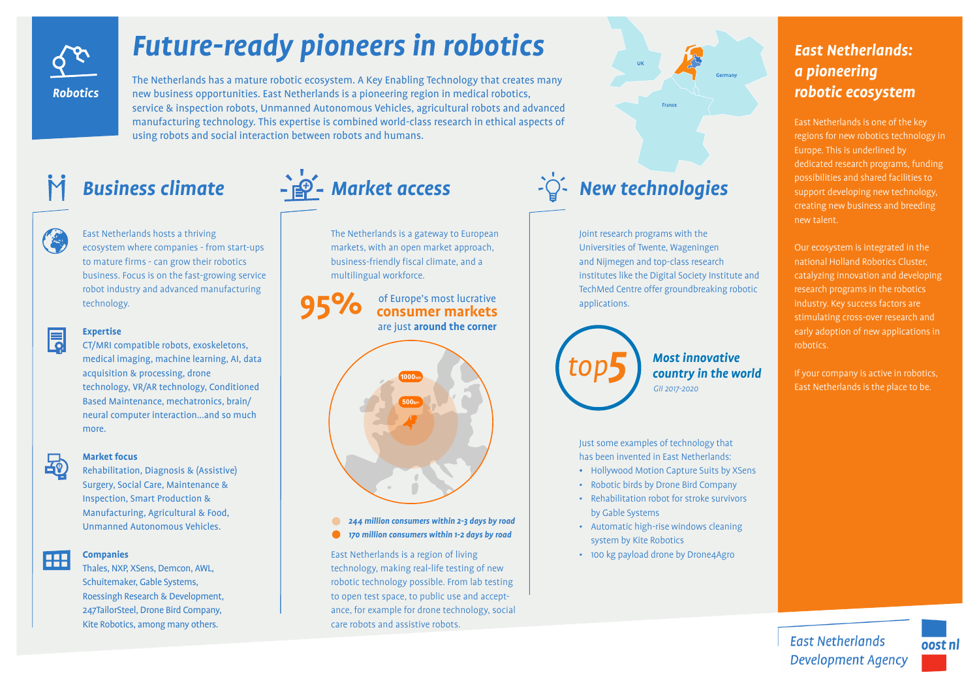

# *Future-ready pioneers in robotics*

The Netherlands has a mature robotic ecosystem. A Key Enabling Technology that creates many new business opportunities. East Netherlands is a pioneering region in medical robotics, service & inspection robots, Unmanned Autonomous Vehicles, agricultural robots and advanced manufacturing technology. This expertise is combined world-class research in ethical aspects of using robots and social interaction between robots and humans.



East Netherlands hosts a thriving ecosystem where companies - from start-ups to mature firms - can grow their robotics business. Focus is on the fast-growing service robot industry and advanced manufacturing technology.



### **Expertise**

CT/MRI compatible robots, exoskeletons, medical imaging, machine learning, AI, data acquisition & processing, drone technology, VR/AR technology, Conditioned Based Maintenance, mechatronics, brain/ neural computer interaction...and so much more.



### **Market focus**

Rehabilitation, Diagnosis & (Assistive) Surgery, Social Care, Maintenance & Inspection, Smart Production & Manufacturing, Agricultural & Food, Unmanned Autonomous Vehicles.



## **Companies**

Thales, NXP, XSens, Demcon, AWL, Schuitemaker, Gable Systems, Roessingh Research & Development, 247TailorSteel, Drone Bird Company, Kite Robotics, among many others.

## +<sup>1</sup><sup>9</sup> - Market access

The Netherlands is a gateway to European markets, with an open market approach, business-friendly fiscal climate, and a multilingual workforce.

**95%** of Europe's most lucrative **consumer markets** are just **around the corner**



*244 million consumers within 2-3 days by road*  $\bullet$  $\bullet$ *170 million consumers within 1-2 days by road*

East Netherlands is a region of living technology, making real-life testing of new robotic technology possible. From lab testing to open test space, to public use and acceptance, for example for drone technology, social care robots and assistive robots.



Universities of Twente, Wageningen and Nijmegen and top-class research institutes like the Digital Society Institute and TechMed Centre offer groundbreaking robotic applications.

*Most innovative country in the world GII 2017-2020*

Just some examples of technology that has been invented in East Netherlands:

- Hollywood Motion Capture Suits by XSens
- Robotic birds by Drone Bird Company
- Rehabilitation robot for stroke survivors by Gable Systems
- Automatic high-rise windows cleaning system by Kite Robotics
- 100 kg payload drone by Drone4Agro

## *East Netherlands: a pioneering robotic ecosystem*

East Netherlands is one of the key regions for new robotics technology in Europe. This is underlined by dedicated research programs, funding possibilities and shared facilities to support developing new technology, new talent.

Our ecosystem is integrated in the national Holland Robotics Cluster, catalyzing innovation and developing research programs in the robotics industry. Key success factors are stimulating cross-over research and early adoption of new applications in robotics.

East Netherlands is the place to be.

**East Netherlands Development Agency**